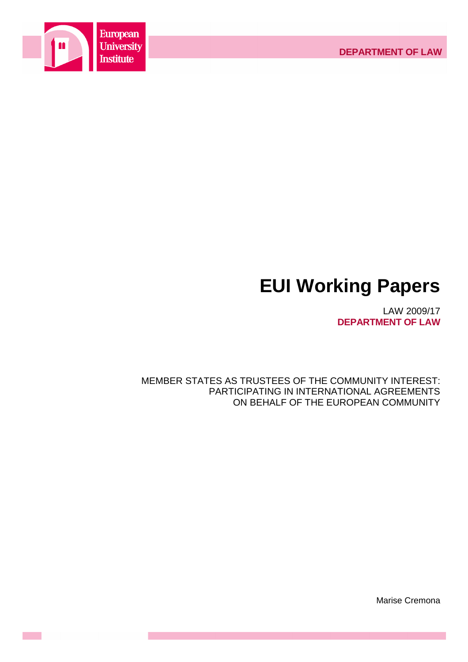



# **EUI Working Papers**

LAW 2009/17 **DEPARTMENT OF LAW**

MEMBER STATES AS TRUSTEES OF THE COMMUNITY INTEREST: PARTICIPATING IN INTERNATIONAL AGREEMENTS ON BEHALF OF THE EUROPEAN COMMUNITY

Marise Cremona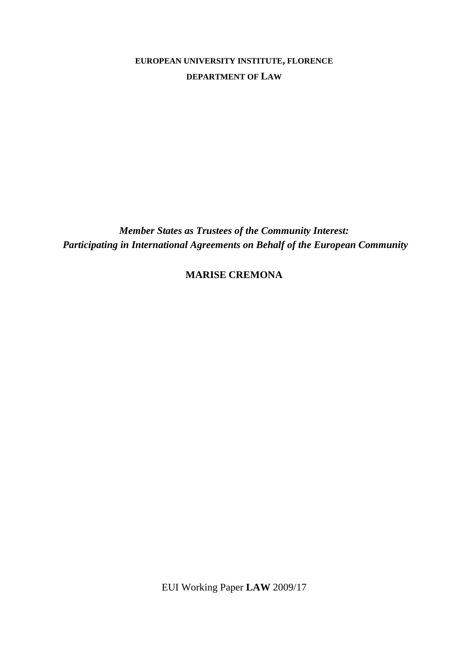# **EUROPEAN UNIVERSITY INSTITUTE, FLORENCE DEPARTMENT OF LAW**

*Member States as Trustees of the Community Interest: Participating in International Agreements on Behalf of the European Community* 

**MARISE CREMONA**

EUI Working Paper **LAW** 2009/17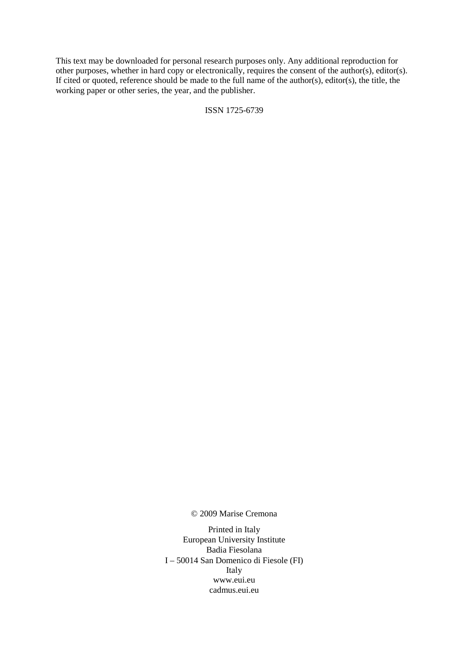This text may be downloaded for personal research purposes only. Any additional reproduction for other purposes, whether in hard copy or electronically, requires the consent of the author(s), editor(s). If cited or quoted, reference should be made to the full name of the author(s), editor(s), the title, the working paper or other series, the year, and the publisher.

ISSN 1725-6739

© 2009 Marise Cremona

Printed in Italy European University Institute Badia Fiesolana I – 50014 San Domenico di Fiesole (FI) Italy www.eui.eu cadmus.eui.eu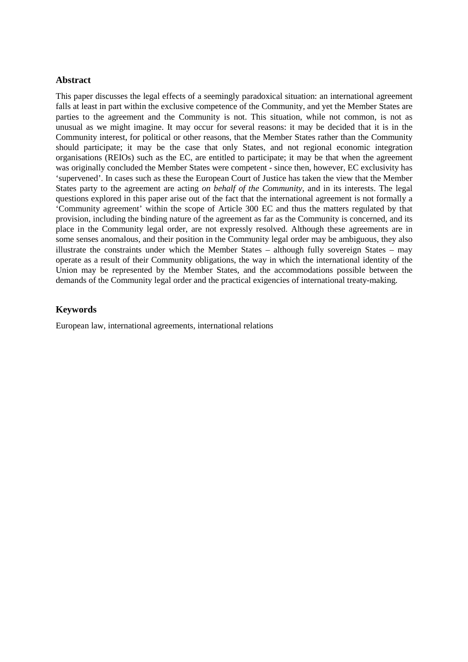#### **Abstract**

This paper discusses the legal effects of a seemingly paradoxical situation: an international agreement falls at least in part within the exclusive competence of the Community, and yet the Member States are parties to the agreement and the Community is not. This situation, while not common, is not as unusual as we might imagine. It may occur for several reasons: it may be decided that it is in the Community interest, for political or other reasons, that the Member States rather than the Community should participate; it may be the case that only States, and not regional economic integration organisations (REIOs) such as the EC, are entitled to participate; it may be that when the agreement was originally concluded the Member States were competent - since then, however, EC exclusivity has 'supervened'. In cases such as these the European Court of Justice has taken the view that the Member States party to the agreement are acting *on behalf of the Community,* and in its interests. The legal questions explored in this paper arise out of the fact that the international agreement is not formally a 'Community agreement' within the scope of Article 300 EC and thus the matters regulated by that provision, including the binding nature of the agreement as far as the Community is concerned, and its place in the Community legal order, are not expressly resolved. Although these agreements are in some senses anomalous, and their position in the Community legal order may be ambiguous, they also illustrate the constraints under which the Member States – although fully sovereign States – may operate as a result of their Community obligations, the way in which the international identity of the Union may be represented by the Member States, and the accommodations possible between the demands of the Community legal order and the practical exigencies of international treaty-making.

#### **Keywords**

European law, international agreements, international relations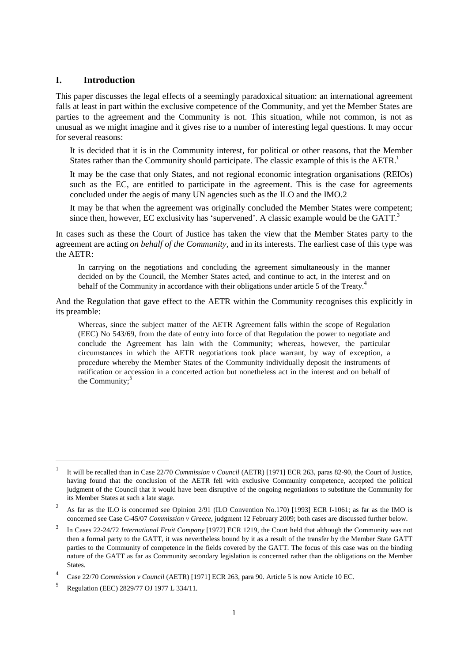#### **I. Introduction**

This paper discusses the legal effects of a seemingly paradoxical situation: an international agreement falls at least in part within the exclusive competence of the Community, and yet the Member States are parties to the agreement and the Community is not. This situation, while not common, is not as unusual as we might imagine and it gives rise to a number of interesting legal questions. It may occur for several reasons:

- It is decided that it is in the Community interest, for political or other reasons, that the Member States rather than the Community should participate. The classic example of this is the  $AETR<sup>1</sup>$
- $\overline{\phantom{a}}$  It may be the case that only States, and not regional economic integration organisations (REIOs) such as the EC, are entitled to participate in the agreement. This is the case for agreements concluded under the aegis of many UN agencies such as the ILO and the IMO.2
- It may be that when the agreement was originally concluded the Member States were competent; since then, however, EC exclusivity has 'supervened'. A classic example would be the  $GATT$ <sup>3</sup>

In cases such as these the Court of Justice has taken the view that the Member States party to the agreement are acting *on behalf of the Community,* and in its interests. The earliest case of this type was the AETR:

In carrying on the negotiations and concluding the agreement simultaneously in the manner decided on by the Council, the Member States acted, and continue to act, in the interest and on behalf of the Community in accordance with their obligations under article 5 of the Treaty.<sup>4</sup>

And the Regulation that gave effect to the AETR within the Community recognises this explicitly in its preamble:

Whereas, since the subject matter of the AETR Agreement falls within the scope of Regulation (EEC) No 543/69, from the date of entry into force of that Regulation the power to negotiate and conclude the Agreement has lain with the Community; whereas, however, the particular circumstances in which the AETR negotiations took place warrant, by way of exception, a procedure whereby the Member States of the Community individually deposit the instruments of ratification or accession in a concerted action but nonetheless act in the interest and on behalf of the Community; $5$ 

l

<sup>1</sup> It will be recalled than in Case 22/70 *Commission v Council* (AETR) [1971] ECR 263, paras 82-90, the Court of Justice, having found that the conclusion of the AETR fell with exclusive Community competence, accepted the political judgment of the Council that it would have been disruptive of the ongoing negotiations to substitute the Community for its Member States at such a late stage.

 $\overline{2}$  As far as the ILO is concerned see Opinion 2/91 (ILO Convention No.170) [1993] ECR I-1061; as far as the IMO is concerned see Case C-45/07 *Commission v Greece*, judgment 12 February 2009; both cases are discussed further below.

<sup>3</sup> In Cases 22-24/72 *International Fruit Company* [1972] ECR 1219, the Court held that although the Community was not then a formal party to the GATT, it was nevertheless bound by it as a result of the transfer by the Member State GATT parties to the Community of competence in the fields covered by the GATT. The focus of this case was on the binding nature of the GATT as far as Community secondary legislation is concerned rather than the obligations on the Member States.

<sup>4</sup> Case 22/70 *Commission v Council* (AETR) [1971] ECR 263, para 90. Article 5 is now Article 10 EC.

<sup>5</sup> Regulation (EEC) 2829/77 OJ 1977 L 334/11*.*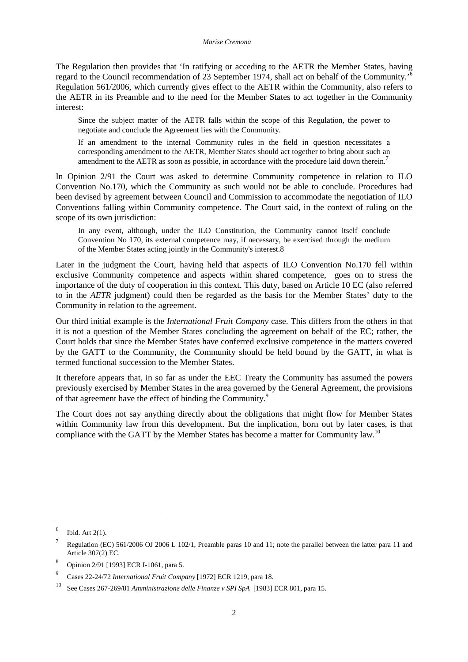The Regulation then provides that 'In ratifying or acceding to the AETR the Member States, having regard to the Council recommendation of 23 September 1974, shall act on behalf of the Community.<sup>'6</sup> Regulation 561/2006, which currently gives effect to the AETR within the Community, also refers to the AETR in its Preamble and to the need for the Member States to act together in the Community interest:

Since the subject matter of the AETR falls within the scope of this Regulation, the power to negotiate and conclude the Agreement lies with the Community.

If an amendment to the internal Community rules in the field in question necessitates a corresponding amendment to the AETR, Member States should act together to bring about such an amendment to the AETR as soon as possible, in accordance with the procedure laid down therein.<sup>7</sup>

In Opinion 2/91 the Court was asked to determine Community competence in relation to ILO Convention No.170, which the Community as such would not be able to conclude. Procedures had been devised by agreement between Council and Commission to accommodate the negotiation of ILO Conventions falling within Community competence. The Court said, in the context of ruling on the scope of its own jurisdiction:

In any event, although, under the ILO Constitution, the Community cannot itself conclude Convention No 170, its external competence may, if necessary, be exercised through the medium of the Member States acting jointly in the Community's interest.8

Later in the judgment the Court, having held that aspects of ILO Convention No.170 fell within exclusive Community competence and aspects within shared competence, goes on to stress the importance of the duty of cooperation in this context. This duty, based on Article 10 EC (also referred to in the *AETR* judgment) could then be regarded as the basis for the Member States' duty to the Community in relation to the agreement.

Our third initial example is the *International Fruit Company* case. This differs from the others in that it is not a question of the Member States concluding the agreement on behalf of the EC; rather, the Court holds that since the Member States have conferred exclusive competence in the matters covered by the GATT to the Community, the Community should be held bound by the GATT, in what is termed functional succession to the Member States.

It therefore appears that, in so far as under the EEC Treaty the Community has assumed the powers previously exercised by Member States in the area governed by the General Agreement, the provisions of that agreement have the effect of binding the Community.<sup>9</sup>

The Court does not say anything directly about the obligations that might flow for Member States within Community law from this development. But the implication, born out by later cases, is that compliance with the GATT by the Member States has become a matter for Community law.<sup>10</sup>

<sup>6</sup> Ibid. Art 2(1).

<sup>7</sup> Regulation (EC) 561/2006 OJ 2006 L 102/1, Preamble paras 10 and 11; note the parallel between the latter para 11 and Article 307(2) EC.

<sup>8</sup> Opinion 2/91 [1993] ECR I-1061, para 5.

<sup>9</sup> Cases 22-24/72 *International Fruit Company* [1972] ECR 1219, para 18.

<sup>10</sup> See Cases 267-269/81 *Amministrazione delle Finanze v SPI SpA* [1983] ECR 801, para 15.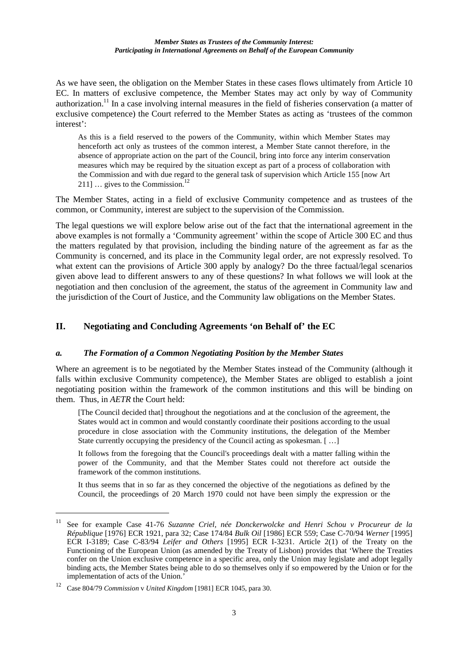As we have seen, the obligation on the Member States in these cases flows ultimately from Article 10 EC. In matters of exclusive competence, the Member States may act only by way of Community authorization.<sup>11</sup> In a case involving internal measures in the field of fisheries conservation (a matter of exclusive competence) the Court referred to the Member States as acting as 'trustees of the common interest':

As this is a field reserved to the powers of the Community, within which Member States may henceforth act only as trustees of the common interest, a Member State cannot therefore, in the absence of appropriate action on the part of the Council, bring into force any interim conservation measures which may be required by the situation except as part of a process of collaboration with the Commission and with due regard to the general task of supervision which Article 155 [now Art 211]  $\ldots$  gives to the Commission.<sup>12</sup>

The Member States, acting in a field of exclusive Community competence and as trustees of the common, or Community, interest are subject to the supervision of the Commission.

The legal questions we will explore below arise out of the fact that the international agreement in the above examples is not formally a 'Community agreement' within the scope of Article 300 EC and thus the matters regulated by that provision, including the binding nature of the agreement as far as the Community is concerned, and its place in the Community legal order, are not expressly resolved. To what extent can the provisions of Article 300 apply by analogy? Do the three factual/legal scenarios given above lead to different answers to any of these questions? In what follows we will look at the negotiation and then conclusion of the agreement, the status of the agreement in Community law and the jurisdiction of the Court of Justice, and the Community law obligations on the Member States.

# **II. Negotiating and Concluding Agreements 'on Behalf of' the EC**

#### *a. The Formation of a Common Negotiating Position by the Member States*

Where an agreement is to be negotiated by the Member States instead of the Community (although it falls within exclusive Community competence), the Member States are obliged to establish a joint negotiating position within the framework of the common institutions and this will be binding on them. Thus, in *AETR* the Court held:

[The Council decided that] throughout the negotiations and at the conclusion of the agreement, the States would act in common and would constantly coordinate their positions according to the usual procedure in close association with the Community institutions, the delegation of the Member State currently occupying the presidency of the Council acting as spokesman. [ …]

It follows from the foregoing that the Council's proceedings dealt with a matter falling within the power of the Community, and that the Member States could not therefore act outside the framework of the common institutions.

It thus seems that in so far as they concerned the objective of the negotiations as defined by the Council, the proceedings of 20 March 1970 could not have been simply the expression or the

<sup>11</sup> See for example Case 41-76 *Suzanne Criel, née Donckerwolcke and Henri Schou v Procureur de la République* [1976] ECR 1921, para 32; Case 174/84 *Bulk Oil* [1986] ECR 559; Case C-70/94 *Werner* [1995] ECR I-3189; Case C-83/94 *Leifer and Others* [1995] ECR I-3231. Article 2(1) of the Treaty on the Functioning of the European Union (as amended by the Treaty of Lisbon) provides that 'Where the Treaties confer on the Union exclusive competence in a specific area, only the Union may legislate and adopt legally binding acts, the Member States being able to do so themselves only if so empowered by the Union or for the implementation of acts of the Union.'

<sup>12</sup> Case 804/79 *Commission* v *United Kingdom* [1981] ECR 1045, para 30.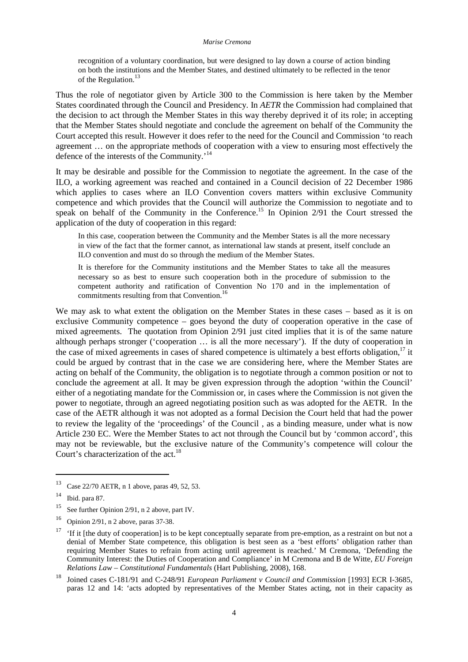#### *Marise Cremona*

recognition of a voluntary coordination, but were designed to lay down a course of action binding on both the institutions and the Member States, and destined ultimately to be reflected in the tenor of the Regulation.<sup>13</sup>

Thus the role of negotiator given by Article 300 to the Commission is here taken by the Member States coordinated through the Council and Presidency. In *AETR* the Commission had complained that the decision to act through the Member States in this way thereby deprived it of its role; in accepting that the Member States should negotiate and conclude the agreement on behalf of the Community the Court accepted this result. However it does refer to the need for the Council and Commission 'to reach agreement … on the appropriate methods of cooperation with a view to ensuring most effectively the defence of the interests of the Community.<sup>14</sup>

It may be desirable and possible for the Commission to negotiate the agreement. In the case of the ILO, a working agreement was reached and contained in a Council decision of 22 December 1986 which applies to cases where an ILO Convention covers matters within exclusive Community competence and which provides that the Council will authorize the Commission to negotiate and to speak on behalf of the Community in the Conference.<sup>15</sup> In Opinion 2/91 the Court stressed the application of the duty of cooperation in this regard:

In this case, cooperation between the Community and the Member States is all the more necessary in view of the fact that the former cannot, as international law stands at present, itself conclude an ILO convention and must do so through the medium of the Member States.

It is therefore for the Community institutions and the Member States to take all the measures necessary so as best to ensure such cooperation both in the procedure of submission to the competent authority and ratification of Convention No 170 and in the implementation of commitments resulting from that Convention.<sup>16</sup>

We may ask to what extent the obligation on the Member States in these cases – based as it is on exclusive Community competence – goes beyond the duty of cooperation operative in the case of mixed agreements. The quotation from Opinion 2/91 just cited implies that it is of the same nature although perhaps stronger ('cooperation … is all the more necessary'). If the duty of cooperation in the case of mixed agreements in cases of shared competence is ultimately a best efforts obligation, $17$  it could be argued by contrast that in the case we are considering here, where the Member States are acting on behalf of the Community, the obligation is to negotiate through a common position or not to conclude the agreement at all. It may be given expression through the adoption 'within the Council' either of a negotiating mandate for the Commission or, in cases where the Commission is not given the power to negotiate, through an agreed negotiating position such as was adopted for the AETR. In the case of the AETR although it was not adopted as a formal Decision the Court held that had the power to review the legality of the 'proceedings' of the Council , as a binding measure, under what is now Article 230 EC. Were the Member States to act not through the Council but by 'common accord', this may not be reviewable, but the exclusive nature of the Community's competence will colour the Court's characterization of the act.<sup>18</sup>

l

<sup>13</sup> Case 22/70 AETR, n 1 above, paras 49, 52, 53.

 $14$  Ibid. para 87.

<sup>&</sup>lt;sup>15</sup> See further Opinion 2/91, n 2 above, part IV.

<sup>16</sup> Opinion 2/91, n 2 above, paras 37-38.

<sup>&</sup>lt;sup>17</sup> 'If it [the duty of cooperation] is to be kept conceptually separate from pre-emption, as a restraint on but not a denial of Member State competence, this obligation is best seen as a 'best efforts' obligation rather than requiring Member States to refrain from acting until agreement is reached.' M Cremona, 'Defending the Community Interest: the Duties of Cooperation and Compliance' in M Cremona and B de Witte, *EU Foreign Relations Law – Constitutional Fundamentals* (Hart Publishing, 2008), 168.

<sup>18</sup> Joined cases C-181/91 and C-248/91 *European Parliament v Council and Commission* [1993] ECR I-3685, paras 12 and 14: 'acts adopted by representatives of the Member States acting, not in their capacity as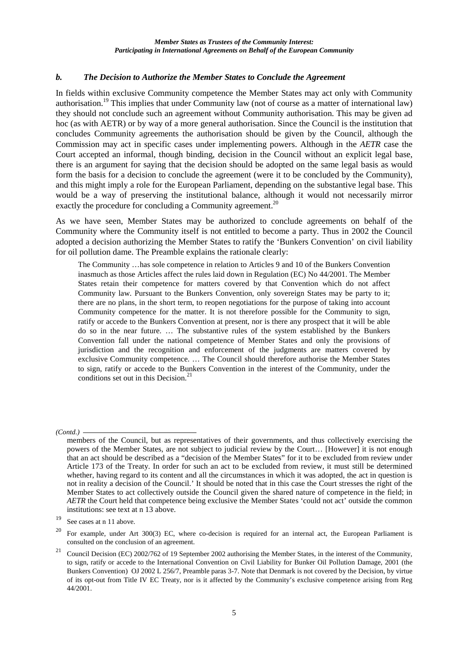#### *b. The Decision to Authorize the Member States to Conclude the Agreement*

In fields within exclusive Community competence the Member States may act only with Community authorisation.<sup>19</sup> This implies that under Community law (not of course as a matter of international law) they should not conclude such an agreement without Community authorisation. This may be given ad hoc (as with AETR) or by way of a more general authorisation. Since the Council is the institution that concludes Community agreements the authorisation should be given by the Council, although the Commission may act in specific cases under implementing powers. Although in the *AETR* case the Court accepted an informal, though binding, decision in the Council without an explicit legal base, there is an argument for saying that the decision should be adopted on the same legal basis as would form the basis for a decision to conclude the agreement (were it to be concluded by the Community), and this might imply a role for the European Parliament, depending on the substantive legal base. This would be a way of preserving the institutional balance, although it would not necessarily mirror exactly the procedure for concluding a Community agreement.<sup>20</sup>

As we have seen, Member States may be authorized to conclude agreements on behalf of the Community where the Community itself is not entitled to become a party. Thus in 2002 the Council adopted a decision authorizing the Member States to ratify the 'Bunkers Convention' on civil liability for oil pollution dame. The Preamble explains the rationale clearly:

The Community …has sole competence in relation to Articles 9 and 10 of the Bunkers Convention inasmuch as those Articles affect the rules laid down in Regulation (EC) No 44/2001. The Member States retain their competence for matters covered by that Convention which do not affect Community law. Pursuant to the Bunkers Convention, only sovereign States may be party to it; there are no plans, in the short term, to reopen negotiations for the purpose of taking into account Community competence for the matter. It is not therefore possible for the Community to sign, ratify or accede to the Bunkers Convention at present, nor is there any prospect that it will be able do so in the near future. … The substantive rules of the system established by the Bunkers Convention fall under the national competence of Member States and only the provisions of jurisdiction and the recognition and enforcement of the judgments are matters covered by exclusive Community competence. … The Council should therefore authorise the Member States to sign, ratify or accede to the Bunkers Convention in the interest of the Community, under the conditions set out in this Decision.<sup>21</sup>

*(Contd.)* 

members of the Council, but as representatives of their governments, and thus collectively exercising the powers of the Member States, are not subject to judicial review by the Court… [However] it is not enough that an act should be described as a "decision of the Member States" for it to be excluded from review under Article 173 of the Treaty. In order for such an act to be excluded from review, it must still be determined whether, having regard to its content and all the circumstances in which it was adopted, the act in question is not in reality a decision of the Council.' It should be noted that in this case the Court stresses the right of the Member States to act collectively outside the Council given the shared nature of competence in the field; in *AETR* the Court held that competence being exclusive the Member States 'could not act' outside the common institutions: see text at n 13 above.

 $19$  See cases at n 11 above.

<sup>&</sup>lt;sup>20</sup> For example, under Art 300(3) EC, where co-decision is required for an internal act, the European Parliament is consulted on the conclusion of an agreement.

<sup>21</sup> Council Decision (EC) 2002/762 of 19 September 2002 authorising the Member States, in the interest of the Community, to sign, ratify or accede to the International Convention on Civil Liability for Bunker Oil Pollution Damage, 2001 (the Bunkers Convention)OJ 2002 L 256/7, Preamble paras 3-7. Note that Denmark is not covered by the Decision, by virtue of its opt-out from Title IV EC Treaty, nor is it affected by the Community's exclusive competence arising from Reg 44/2001.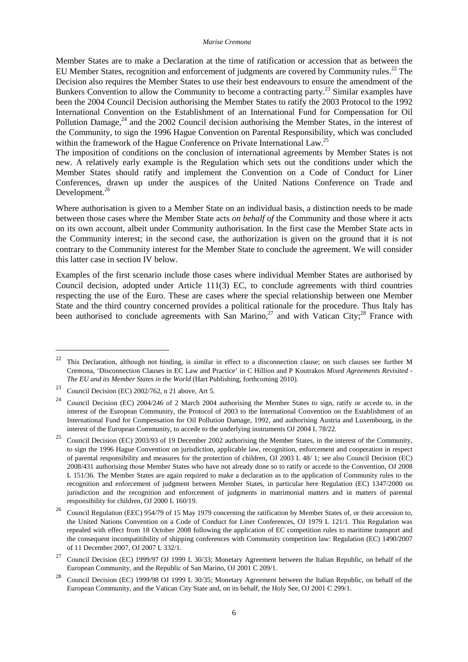#### *Marise Cremona*

Member States are to make a Declaration at the time of ratification or accession that as between the EU Member States, recognition and enforcement of judgments are covered by Community rules.<sup>22</sup> The Decision also requires the Member States to use their best endeavours to ensure the amendment of the Bunkers Convention to allow the Community to become a contracting party.<sup>23</sup> Similar examples have been the 2004 Council Decision authorising the Member States to ratify the 2003 Protocol to the 1992 International Convention on the Establishment of an International Fund for Compensation for Oil Pollution Damage, $^{24}$  and the 2002 Council decision authorising the Member States, in the interest of the Community, to sign the 1996 Hague Convention on Parental Responsibility, which was concluded within the framework of the Hague Conference on Private International Law.<sup>25</sup>

The imposition of conditions on the conclusion of international agreements by Member States is not new. A relatively early example is the Regulation which sets out the conditions under which the Member States should ratify and implement the Convention on a Code of Conduct for Liner Conferences, drawn up under the auspices of the United Nations Conference on Trade and Development. $26$ 

Where authorisation is given to a Member State on an individual basis, a distinction needs to be made between those cases where the Member State acts *on behalf of* the Community and those where it acts on its own account, albeit under Community authorisation. In the first case the Member State acts in the Community interest; in the second case, the authorization is given on the ground that it is not contrary to the Community interest for the Member State to conclude the agreement. We will consider this latter case in section IV below.

Examples of the first scenario include those cases where individual Member States are authorised by Council decision, adopted under Article 111(3) EC, to conclude agreements with third countries respecting the use of the Euro. These are cases where the special relationship between one Member State and the third country concerned provides a political rationale for the procedure. Thus Italy has been authorised to conclude agreements with San Marino,<sup>27</sup> and with Vatican City;<sup>28</sup> France with

<sup>&</sup>lt;sup>22</sup> This Declaration, although not binding, is similar in effect to a disconnection clause; on such clauses see further M Cremona, 'Disconnection Clauses in EC Law and Practice' in C Hillion and P Koutrakos *Mixed Agreements Revisited - The EU and its Member States in the World* (Hart Publishing, forthcoming 2010).

<sup>&</sup>lt;sup>23</sup> Council Decision (EC) 2002/762, n 21 above, Art 5.

<sup>&</sup>lt;sup>24</sup> Council Decision (EC) 2004/246 of 2 March 2004 authorising the Member States to sign, ratify or accede to, in the interest of the European Community, the Protocol of 2003 to the International Convention on the Establishment of an International Fund for Compensation for Oil Pollution Damage, 1992, and authorising Austria and Luxembourg, in the interest of the European Community, to accede to the underlying instruments OJ 2004 L 78/22.

<sup>&</sup>lt;sup>25</sup> Council Decision (EC) 2003/93 of 19 December 2002 authorising the Member States, in the interest of the Community, to sign the 1996 Hague Convention on jurisdiction, applicable law, recognition, enforcement and cooperation in respect of parental responsibility and measures for the protection of children, OJ 2003 L 48/ 1; see also Council Decision (EC) 2008/431 authorising those Member States who have not already done so to ratify or accede to the Convention, OJ 2008 L 151/36. The Member States are again required to make a declaration as to the application of Community rules to the recognition and enforcement of judgment between Member States, in particular here Regulation (EC) 1347/2000 on jurisdiction and the recognition and enforcement of judgments in matrimonial matters and in matters of parental responsibility for children, OJ 2000 L 160/19.

<sup>&</sup>lt;sup>26</sup> Council Regulation (EEC) 954/79 of 15 May 1979 concerning the ratification by Member States of, or their accession to, the United Nations Convention on a Code of Conduct for Liner Conferences, OJ 1979 L 121/1. This Regulation was repealed with effect from 18 October 2008 following the application of EC competition rules to maritime transport and the consequent incompatitibility of shipping conferences with Community competition law: Regulation (EC) 1490/2007 of 11 December 2007, OJ 2007 L 332/1.

<sup>27</sup> Council Decision (EC) 1999/97 OJ 1999 L 30/33; Monetary Agreement between the Italian Republic, on behalf of the European Community, and the Republic of San Marino, OJ 2001 C 209/1.

<sup>28</sup> Council Decision (EC) 1999/98 OJ 1999 L 30/35; Monetary Agreement between the Italian Republic, on behalf of the European Community, and the Vatican City State and, on its behalf, the Holy See, OJ 2001 C 299/1.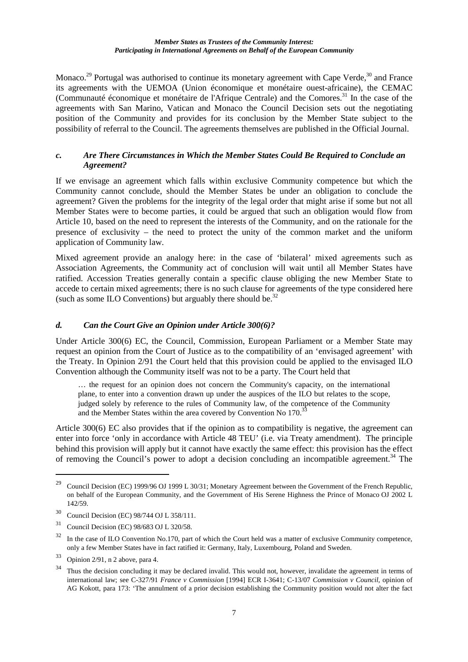Monaco.<sup>29</sup> Portugal was authorised to continue its monetary agreement with Cape Verde,<sup>30</sup> and France its agreements with the UEMOA (Union économique et monétaire ouest-africaine), the CEMAC (Communauté économique et monétaire de l'Afrique Centrale) and the Comores.<sup>31</sup> In the case of the agreements with San Marino, Vatican and Monaco the Council Decision sets out the negotiating position of the Community and provides for its conclusion by the Member State subject to the possibility of referral to the Council. The agreements themselves are published in the Official Journal.

#### *c. Are There Circumstances in Which the Member States Could Be Required to Conclude an Agreement?*

If we envisage an agreement which falls within exclusive Community competence but which the Community cannot conclude, should the Member States be under an obligation to conclude the agreement? Given the problems for the integrity of the legal order that might arise if some but not all Member States were to become parties, it could be argued that such an obligation would flow from Article 10, based on the need to represent the interests of the Community, and on the rationale for the presence of exclusivity – the need to protect the unity of the common market and the uniform application of Community law.

Mixed agreement provide an analogy here: in the case of 'bilateral' mixed agreements such as Association Agreements, the Community act of conclusion will wait until all Member States have ratified. Accession Treaties generally contain a specific clause obliging the new Member State to accede to certain mixed agreements; there is no such clause for agreements of the type considered here (such as some ILO Conventions) but arguably there should be.<sup>32</sup>

# *d. Can the Court Give an Opinion under Article 300(6)?*

Under Article 300(6) EC, the Council, Commission, European Parliament or a Member State may request an opinion from the Court of Justice as to the compatibility of an 'envisaged agreement' with the Treaty. In Opinion 2/91 the Court held that this provision could be applied to the envisaged ILO Convention although the Community itself was not to be a party. The Court held that

… the request for an opinion does not concern the Community's capacity, on the international plane, to enter into a convention drawn up under the auspices of the ILO but relates to the scope, judged solely by reference to the rules of Community law, of the competence of the Community and the Member States within the area covered by Convention No  $170<sup>3</sup>$ 

Article 300(6) EC also provides that if the opinion as to compatibility is negative, the agreement can enter into force 'only in accordance with Article 48 TEU' (i.e. via Treaty amendment). The principle behind this provision will apply but it cannot have exactly the same effect: this provision has the effect of removing the Council's power to adopt a decision concluding an incompatible agreement.<sup>34</sup> The

l

<sup>&</sup>lt;sup>29</sup> Council Decision (EC) 1999/96 OJ 1999 L 30/31; Monetary Agreement between the Government of the French Republic, on behalf of the European Community, and the Government of His Serene Highness the Prince of Monaco OJ 2002 L 142/59.

<sup>30</sup> Council Decision (EC) 98/744 OJ L 358/111.

<sup>31</sup> Council Decision (EC) 98/683 OJ L 320/58.

 $32$  In the case of ILO Convention No.170, part of which the Court held was a matter of exclusive Community competence. only a few Member States have in fact ratified it: Germany, Italy, Luxembourg, Poland and Sweden.

 $33$  Opinion 2/91, n 2 above, para 4.

<sup>&</sup>lt;sup>34</sup> Thus the decision concluding it may be declared invalid. This would not, however, invalidate the agreement in terms of international law; see C-327/91 *France v Commission* [1994] ECR I-3641; C-13/07 *Commission v Council*, opinion of AG Kokott, para 173: 'The annulment of a prior decision establishing the Community position would not alter the fact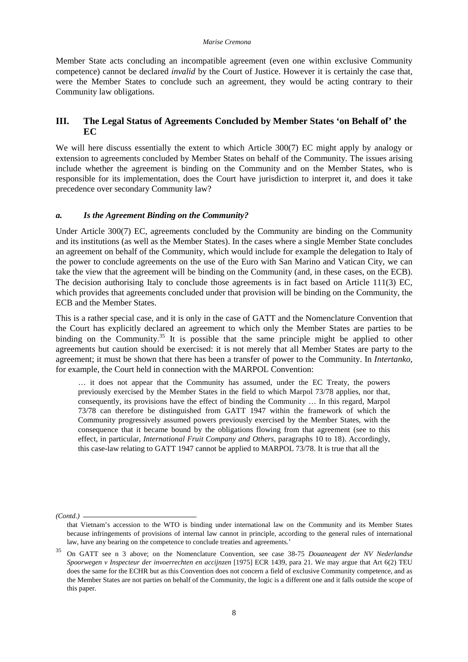Member State acts concluding an incompatible agreement (even one within exclusive Community competence) cannot be declared *invalid* by the Court of Justice. However it is certainly the case that, were the Member States to conclude such an agreement, they would be acting contrary to their Community law obligations.

# **III. The Legal Status of Agreements Concluded by Member States 'on Behalf of' the EC**

We will here discuss essentially the extent to which Article 300(7) EC might apply by analogy or extension to agreements concluded by Member States on behalf of the Community. The issues arising include whether the agreement is binding on the Community and on the Member States, who is responsible for its implementation, does the Court have jurisdiction to interpret it, and does it take precedence over secondary Community law?

#### *a. Is the Agreement Binding on the Community?*

Under Article 300(7) EC, agreements concluded by the Community are binding on the Community and its institutions (as well as the Member States). In the cases where a single Member State concludes an agreement on behalf of the Community, which would include for example the delegation to Italy of the power to conclude agreements on the use of the Euro with San Marino and Vatican City, we can take the view that the agreement will be binding on the Community (and, in these cases, on the ECB). The decision authorising Italy to conclude those agreements is in fact based on Article 111(3) EC, which provides that agreements concluded under that provision will be binding on the Community, the ECB and the Member States.

This is a rather special case, and it is only in the case of GATT and the Nomenclature Convention that the Court has explicitly declared an agreement to which only the Member States are parties to be binding on the Community.<sup>35</sup> It is possible that the same principle might be applied to other agreements but caution should be exercised: it is not merely that all Member States are party to the agreement; it must be shown that there has been a transfer of power to the Community. In *Intertanko*, for example, the Court held in connection with the MARPOL Convention:

… it does not appear that the Community has assumed, under the EC Treaty, the powers previously exercised by the Member States in the field to which Marpol 73/78 applies, nor that, consequently, its provisions have the effect of binding the Community … In this regard, Marpol 73/78 can therefore be distinguished from GATT 1947 within the framework of which the Community progressively assumed powers previously exercised by the Member States, with the consequence that it became bound by the obligations flowing from that agreement (see to this effect, in particular, *International Fruit Company and Others*, paragraphs 10 to 18). Accordingly, this case-law relating to GATT 1947 cannot be applied to MARPOL 73/78. It is true that all the

*(Contd.)* 

that Vietnam's accession to the WTO is binding under international law on the Community and its Member States because infringements of provisions of internal law cannot in principle, according to the general rules of international law, have any bearing on the competence to conclude treaties and agreements.'

<sup>35</sup> On GATT see n 3 above; on the Nomenclature Convention, see case 38-75 *Douaneagent der NV Nederlandse Spoorwegen v Inspecteur der invoerrechten en accijnzen* [1975] ECR 1439, para 21. We may argue that Art 6(2) TEU does the same for the ECHR but as this Convention does not concern a field of exclusive Community competence, and as the Member States are not parties on behalf of the Community, the logic is a different one and it falls outside the scope of this paper.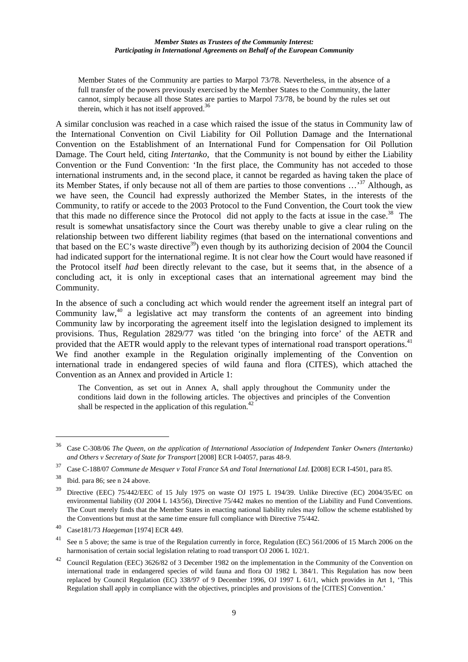Member States of the Community are parties to Marpol 73/78. Nevertheless, in the absence of a full transfer of the powers previously exercised by the Member States to the Community, the latter cannot, simply because all those States are parties to Marpol 73/78, be bound by the rules set out therein, which it has not itself approved.<sup>36</sup>

A similar conclusion was reached in a case which raised the issue of the status in Community law of the International Convention on Civil Liability for Oil Pollution Damage and the International Convention on the Establishment of an International Fund for Compensation for Oil Pollution Damage. The Court held, citing *Intertanko*, that the Community is not bound by either the Liability Convention or the Fund Convention: 'In the first place, the Community has not acceded to those international instruments and, in the second place, it cannot be regarded as having taken the place of its Member States, if only because not all of them are parties to those conventions …'<sup>37</sup> Although, as we have seen, the Council had expressly authorized the Member States, in the interests of the Community, to ratify or accede to the 2003 Protocol to the Fund Convention, the Court took the view that this made no difference since the Protocol did not apply to the facts at issue in the case.<sup>38</sup> The result is somewhat unsatisfactory since the Court was thereby unable to give a clear ruling on the relationship between two different liability regimes (that based on the international conventions and that based on the EC's waste directive<sup>39</sup>) even though by its authorizing decision of 2004 the Council had indicated support for the international regime. It is not clear how the Court would have reasoned if the Protocol itself *had* been directly relevant to the case, but it seems that, in the absence of a concluding act, it is only in exceptional cases that an international agreement may bind the Community.

In the absence of such a concluding act which would render the agreement itself an integral part of Community law, $40$  a legislative act may transform the contents of an agreement into binding Community law by incorporating the agreement itself into the legislation designed to implement its provisions. Thus, Regulation 2829/77 was titled 'on the bringing into force' of the AETR and provided that the AETR would apply to the relevant types of international road transport operations.<sup>41</sup> We find another example in the Regulation originally implementing of the Convention on international trade in endangered species of wild fauna and flora (CITES), which attached the Convention as an Annex and provided in Article 1:

The Convention, as set out in Annex A, shall apply throughout the Community under the conditions laid down in the following articles. The objectives and principles of the Convention shall be respected in the application of this regulation.

l

<sup>36</sup> Case C-308/06 *The Queen, on the application of International Association of Independent Tanker Owners (Intertanko) and Others v Secretary of State for Transport* [2008] ECR I-04057, paras 48-9.

<sup>37</sup> Case C-188/07 *Commune de Mesquer v Total France SA and Total International Ltd*. **[**2008] ECR I-4501, para 85.

<sup>38</sup> Ibid. para 86; see n 24 above.

<sup>39</sup> Directive (EEC) 75/442/EEC of 15 July 1975 on waste OJ 1975 L 194/39. Unlike Directive (EC) 2004/35/EC on environmental liability (OJ 2004 L 143/56), Directive 75/442 makes no mention of the Liability and Fund Conventions. The Court merely finds that the Member States in enacting national liability rules may follow the scheme established by the Conventions but must at the same time ensure full compliance with Directive 75/442.

<sup>40</sup> Case181/73 *Haegeman* [1974] ECR 449.

<sup>41</sup> See n 5 above; the same is true of the Regulation currently in force, Regulation (EC) 561/2006 of 15 March 2006 on the harmonisation of certain social legislation relating to road transport OJ 2006 L 102/1.

<sup>&</sup>lt;sup>42</sup> Council Regulation (EEC) 3626/82 of 3 December 1982 on the implementation in the Community of the Convention on international trade in endangered species of wild fauna and flora OJ 1982 L 384/1. This Regulation has now been replaced by Council Regulation (EC) 338/97 of 9 December 1996, OJ 1997 L 61/1, which provides in Art 1, 'This Regulation shall apply in compliance with the objectives, principles and provisions of the [CITES] Convention.'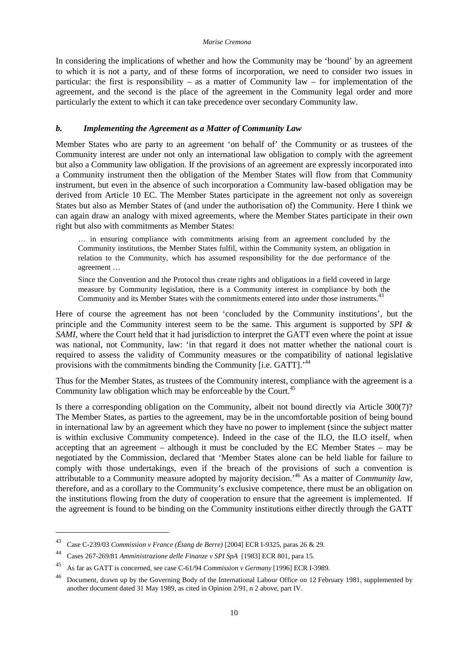In considering the implications of whether and how the Community may be 'bound' by an agreement to which it is not a party, and of these forms of incorporation, we need to consider two issues in particular: the first is responsibility – as a matter of Community law – for implementation of the agreement, and the second is the place of the agreement in the Community legal order and more particularly the extent to which it can take precedence over secondary Community law.

#### *b. Implementing the Agreement as a Matter of Community Law*

Member States who are party to an agreement 'on behalf of' the Community or as trustees of the Community interest are under not only an international law obligation to comply with the agreement but also a Community law obligation. If the provisions of an agreement are expressly incorporated into a Community instrument then the obligation of the Member States will flow from that Community instrument, but even in the absence of such incorporation a Community law-based obligation may be derived from Article 10 EC. The Member States participate in the agreement not only as sovereign States but also as Member States of (and under the authorisation of) the Community. Here I think we can again draw an analogy with mixed agreements, where the Member States participate in their own right but also with commitments as Member States:

… in ensuring compliance with commitments arising from an agreement concluded by the Community institutions, the Member States fulfil, within the Community system, an obligation in relation to the Community, which has assumed responsibility for the due performance of the agreement …

Since the Convention and the Protocol thus create rights and obligations in a field covered in large measure by Community legislation, there is a Community interest in compliance by both the Community and its Member States with the commitments entered into under those instruments.<sup>4</sup>

Here of course the agreement has not been 'concluded by the Community institutions', but the principle and the Community interest seem to be the same. This argument is supported by *SPI & SAMI*, where the Court held that it had jurisdiction to interpret the GATT even where the point at issue was national, not Community, law: 'in that regard it does not matter whether the national court is required to assess the validity of Community measures or the compatibility of national legislative provisions with the commitments binding the Community [i.e. GATT].'<sup>44</sup>

Thus for the Member States, as trustees of the Community interest, compliance with the agreement is a Community law obligation which may be enforceable by the Court.<sup>45</sup>

Is there a corresponding obligation on the Community, albeit not bound directly via Article 300(7)? The Member States, as parties to the agreement, may be in the uncomfortable position of being bound in international law by an agreement which they have no power to implement (since the subject matter is within exclusive Community competence). Indeed in the case of the ILO, the ILO itself, when accepting that an agreement – although it must be concluded by the EC Member States – may be negotiated by the Commission, declared that 'Member States alone can be held liable for failure to comply with those undertakings, even if the breach of the provisions of such a convention is attributable to a Community measure adopted by majority decision.'<sup>46</sup> As a matter of *Community law*, therefore, and as a corollary to the Community's exclusive competence, there must be an obligation on the institutions flowing from the duty of cooperation to ensure that the agreement is implemented. If the agreement is found to be binding on the Community institutions either directly through the GATT

<sup>43</sup> Case C-239/03 *Commission v France (Étang de Berre)* [2004] ECR I-9325, paras 26 & 29.

<sup>44</sup> Cases 267-269/81 *Amministrazione delle Finanze v SPI SpA* [1983] ECR 801, para 15.

<sup>45</sup> As far as GATT is concerned, see case C-61/94 *Commission v Germany* [1996] ECR I-3989.

<sup>&</sup>lt;sup>46</sup> Document, drawn up by the Governing Body of the International Labour Office on 12 February 1981, supplemented by another document dated 31 May 1989, as cited in Opinion 2/91, n 2 above, part IV.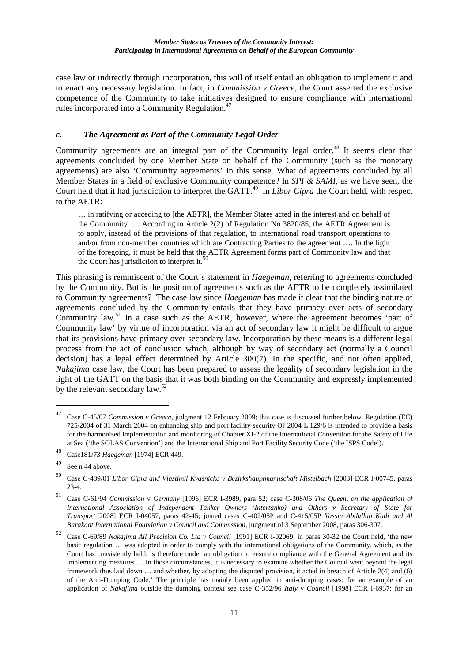case law or indirectly through incorporation, this will of itself entail an obligation to implement it and to enact any necessary legislation. In fact, in *Commission v Greece*, the Court asserted the exclusive competence of the Community to take initiatives designed to ensure compliance with international rules incorporated into a Community Regulation.<sup>47</sup>

# *c. The Agreement as Part of the Community Legal Order*

Community agreements are an integral part of the Community legal order.<sup>48</sup> It seems clear that agreements concluded by one Member State on behalf of the Community (such as the monetary agreements) are also 'Community agreements' in this sense. What of agreements concluded by all Member States in a field of exclusive Community competence? In *SPI & SAMI*, as we have seen, the Court held that it had jurisdiction to interpret the GATT.<sup>49</sup> In *Libor Cipra* the Court held, with respect to the AETR:

… in ratifying or acceding to [the AETR], the Member States acted in the interest and on behalf of the Community …. According to Article 2(2) of Regulation No 3820/85, the AETR Agreement is to apply, instead of the provisions of that regulation, to international road transport operations to and/or from non-member countries which are Contracting Parties to the agreement …. In the light of the foregoing, it must be held that the AETR Agreement forms part of Community law and that the Court has jurisdiction to interpret it. $50$ 

This phrasing is reminiscent of the Court's statement in *Haegeman*, referring to agreements concluded by the Community. But is the position of agreements such as the AETR to be completely assimilated to Community agreements? The case law since *Haegeman* has made it clear that the binding nature of agreements concluded by the Community entails that they have primacy over acts of secondary Community law.<sup>51</sup> In a case such as the AETR, however, where the agreement becomes 'part of Community law' by virtue of incorporation via an act of secondary law it might be difficult to argue that its provisions have primacy over secondary law. Incorporation by these means is a different legal process from the act of conclusion which, although by way of secondary act (normally a Council decision) has a legal effect determined by Article 300(7). In the specific, and not often applied, *Nakajima* case law, the Court has been prepared to assess the legality of secondary legislation in the light of the GATT on the basis that it was both binding on the Community and expressly implemented by the relevant secondary law.<sup>52</sup>

<sup>47</sup> Case C-45/07 *Commission v Greece*, judgment 12 February 2009; this case is discussed further below. Regulation (EC) 725/2004 of 31 March 2004 on enhancing ship and port facility security OJ 2004 L 129/6 is intended to provide a basis for the harmonised implementation and monitoring of Chapter XI-2 of the International Convention for the Safety of Life at Sea ('the SOLAS Convention') and the International Ship and Port Facility Security Code ('the ISPS Code').

<sup>48</sup> Case181/73 *Haegeman* [1974] ECR 449.

 $49$  See n 44 above.

<sup>50</sup> Case C-439/01 *Libor Cipra and Vlastimil Kvasnicka v Bezirkshauptmannschaft Mistelbach* [2003] ECR I-00745, paras 23-4.

<sup>51</sup> Case C-61/94 *Commission* v *Germany* [1996] ECR I-3989, para 52; case C-308/06 *The Queen, on the application of International Association of Independent Tanker Owners (Intertanko) and Others v Secretary of State for Transport* [2008] ECR I-04057, paras 42-45; joined cases C-402/05P and C-415/05P *Yassin Abdullah Kadi and Al Barakaat International Foundation v Council and Commission*, judgment of 3 September 2008, paras 306-307.

<sup>52</sup> Case C-69/89 *Nakajima All Precision Co. Ltd v Council* [1991] ECR I-02069; in paras 30-32 the Court held, 'the new basic regulation … was adopted in order to comply with the international obligations of the Community, which, as the Court has consistently held, is therefore under an obligation to ensure compliance with the General Agreement and its implementing measures … In those circumstances, it is necessary to examine whether the Council went beyond the legal framework thus laid down … and whether, by adopting the disputed provision, it acted in breach of Article 2(4) and (6) of the Anti-Dumping Code.' The principle has mainly been applied in anti-dumping cases; for an example of an application of *Nakajima* outside the dumping context see case C-352/96 *Italy* v *Council* [1998] ECR I-6937; for an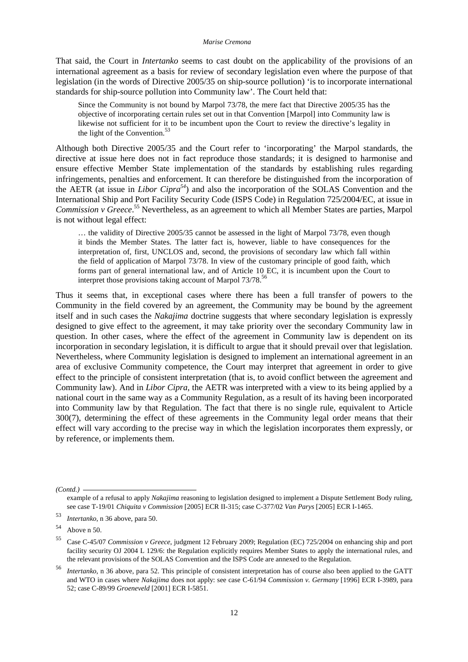#### *Marise Cremona*

That said, the Court in *Intertanko* seems to cast doubt on the applicability of the provisions of an international agreement as a basis for review of secondary legislation even where the purpose of that legislation (in the words of Directive 2005/35 on ship-source pollution) 'is to incorporate international standards for ship-source pollution into Community law'. The Court held that:

Since the Community is not bound by Marpol 73/78, the mere fact that Directive 2005/35 has the objective of incorporating certain rules set out in that Convention [Marpol] into Community law is likewise not sufficient for it to be incumbent upon the Court to review the directive's legality in the light of the Convention.<sup>5</sup>

Although both Directive 2005/35 and the Court refer to 'incorporating' the Marpol standards, the directive at issue here does not in fact reproduce those standards; it is designed to harmonise and ensure effective Member State implementation of the standards by establishing rules regarding infringements, penalties and enforcement. It can therefore be distinguished from the incorporation of the AETR (at issue in *Libor Cipra<sup>54</sup>*) and also the incorporation of the SOLAS Convention and the International Ship and Port Facility Security Code (ISPS Code) in Regulation 725/2004/EC, at issue in *Commission v Greece*. <sup>55</sup> Nevertheless, as an agreement to which all Member States are parties, Marpol is not without legal effect:

… the validity of Directive 2005/35 cannot be assessed in the light of Marpol 73/78, even though it binds the Member States. The latter fact is, however, liable to have consequences for the interpretation of, first, UNCLOS and, second, the provisions of secondary law which fall within the field of application of Marpol 73/78. In view of the customary principle of good faith, which forms part of general international law, and of Article 10 EC, it is incumbent upon the Court to interpret those provisions taking account of Marpol 73/78.<sup>56</sup>

Thus it seems that, in exceptional cases where there has been a full transfer of powers to the Community in the field covered by an agreement, the Community may be bound by the agreement itself and in such cases the *Nakajima* doctrine suggests that where secondary legislation is expressly designed to give effect to the agreement, it may take priority over the secondary Community law in question. In other cases, where the effect of the agreement in Community law is dependent on its incorporation in secondary legislation, it is difficult to argue that it should prevail over that legislation. Nevertheless, where Community legislation is designed to implement an international agreement in an area of exclusive Community competence, the Court may interpret that agreement in order to give effect to the principle of consistent interpretation (that is, to avoid conflict between the agreement and Community law). And in *Libor Cipra*, the AETR was interpreted with a view to its being applied by a national court in the same way as a Community Regulation, as a result of its having been incorporated into Community law by that Regulation. The fact that there is no single rule, equivalent to Article 300(7), determining the effect of these agreements in the Community legal order means that their effect will vary according to the precise way in which the legislation incorporates them expressly, or by reference, or implements them.

*(Contd.)* 

example of a refusal to apply *Nakajima* reasoning to legislation designed to implement a Dispute Settlement Body ruling, see case T-19/01 *Chiquita v Commission* [2005] ECR II-315; case C-377/02 *Van Parys* [2005] ECR I-1465.

<sup>53</sup> *Intertanko*, n 36 above, para 50.

 $54$  Above n 50.

<sup>55</sup> Case C-45/07 *Commission v Greece*, judgment 12 February 2009; Regulation (EC) 725/2004 on enhancing ship and port facility security OJ 2004 L 129/6: the Regulation explicitly requires Member States to apply the international rules, and the relevant provisions of the SOLAS Convention and the ISPS Code are annexed to the Regulation.

<sup>56</sup> *Intertanko*, n 36 above, para 52. This principle of consistent interpretation has of course also been applied to the GATT and WTO in cases where *Nakajima* does not apply: see case C-61/94 *Commission v. Germany* [1996] ECR I-3989, para 52; case C-89/99 *Groeneveld* [2001] ECR I-5851.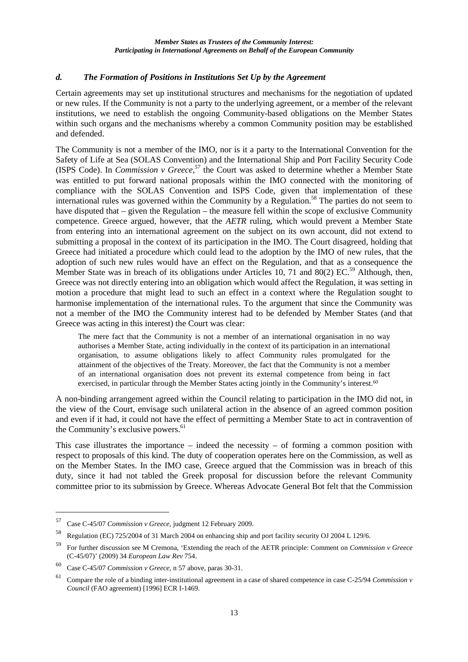# *d. The Formation of Positions in Institutions Set Up by the Agreement*

Certain agreements may set up institutional structures and mechanisms for the negotiation of updated or new rules. If the Community is not a party to the underlying agreement, or a member of the relevant institutions, we need to establish the ongoing Community-based obligations on the Member States within such organs and the mechanisms whereby a common Community position may be established and defended.

The Community is not a member of the IMO, nor is it a party to the International Convention for the Safety of Life at Sea (SOLAS Convention) and the International Ship and Port Facility Security Code (ISPS Code). In *Commission v Greece,<sup>57</sup>* the Court was asked to determine whether a Member State was entitled to put forward national proposals within the IMO connected with the monitoring of compliance with the SOLAS Convention and ISPS Code, given that implementation of these international rules was governed within the Community by a Regulation.<sup>58</sup> The parties do not seem to have disputed that – given the Regulation – the measure fell within the scope of exclusive Community competence. Greece argued, however, that the *AETR* ruling, which would prevent a Member State from entering into an international agreement on the subject on its own account, did not extend to submitting a proposal in the context of its participation in the IMO. The Court disagreed, holding that Greece had initiated a procedure which could lead to the adoption by the IMO of new rules, that the adoption of such new rules would have an effect on the Regulation, and that as a consequence the Member State was in breach of its obligations under Articles 10, 71 and 80(2) EC.<sup>59</sup> Although, then, Greece was not directly entering into an obligation which would affect the Regulation, it was setting in motion a procedure that might lead to such an effect in a context where the Regulation sought to harmonise implementation of the international rules. To the argument that since the Community was not a member of the IMO the Community interest had to be defended by Member States (and that Greece was acting in this interest) the Court was clear:

The mere fact that the Community is not a member of an international organisation in no way authorises a Member State, acting individually in the context of its participation in an international organisation, to assume obligations likely to affect Community rules promulgated for the attainment of the objectives of the Treaty. Moreover, the fact that the Community is not a member of an international organisation does not prevent its external competence from being in fact exercised, in particular through the Member States acting jointly in the Community's interest.<sup>60</sup>

A non-binding arrangement agreed within the Council relating to participation in the IMO did not, in the view of the Court, envisage such unilateral action in the absence of an agreed common position and even if it had, it could not have the effect of permitting a Member State to act in contravention of the Community's exclusive powers.<sup>61</sup>

This case illustrates the importance – indeed the necessity – of forming a common position with respect to proposals of this kind. The duty of cooperation operates here on the Commission, as well as on the Member States. In the IMO case, Greece argued that the Commission was in breach of this duty, since it had not tabled the Greek proposal for discussion before the relevant Community committee prior to its submission by Greece. Whereas Advocate General Bot felt that the Commission

<sup>57</sup> Case C-45/07 *Commission v Greece*, judgment 12 February 2009.

<sup>58</sup> Regulation (EC) 725/2004 of 31 March 2004 on enhancing ship and port facility security OJ 2004 L 129/6.

<sup>59</sup> For further discussion see M Cremona, 'Extending the reach of the AETR principle: Comment on *Commission v Greece* (C-45/07)' (2009) 34 *European Law Rev* 754.

<sup>60</sup> Case C-45/07 *Commission v Greece*, n 57 above, paras 30-31.

<sup>61</sup> Compare the role of a binding inter-institutional agreement in a case of shared competence in case C-25/94 *Commission v Council* (FAO agreement) [1996] ECR I-1469.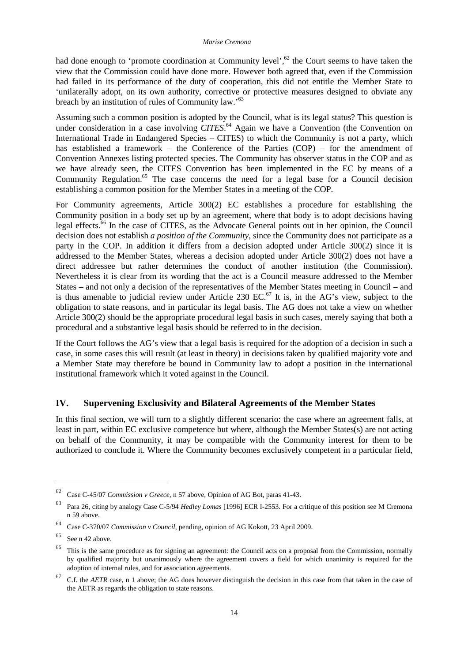had done enough to 'promote coordination at Community level',<sup>62</sup> the Court seems to have taken the view that the Commission could have done more. However both agreed that, even if the Commission had failed in its performance of the duty of cooperation, this did not entitle the Member State to 'unilaterally adopt, on its own authority, corrective or protective measures designed to obviate any breach by an institution of rules of Community law.'<sup>63</sup>

Assuming such a common position is adopted by the Council, what is its legal status? This question is under consideration in a case involving *CITES*. <sup>64</sup> Again we have a Convention (the Convention on International Trade in Endangered Species – CITES) to which the Community is not a party, which has established a framework – the Conference of the Parties (COP) – for the amendment of Convention Annexes listing protected species. The Community has observer status in the COP and as we have already seen, the CITES Convention has been implemented in the EC by means of a Community Regulation.<sup>65</sup> The case concerns the need for a legal base for a Council decision establishing a common position for the Member States in a meeting of the COP.

For Community agreements, Article 300(2) EC establishes a procedure for establishing the Community position in a body set up by an agreement, where that body is to adopt decisions having legal effects.<sup>66</sup> In the case of CITES, as the Advocate General points out in her opinion, the Council decision does not establish *a position of the Community*, since the Community does not participate as a party in the COP. In addition it differs from a decision adopted under Article 300(2) since it is addressed to the Member States, whereas a decision adopted under Article 300(2) does not have a direct addressee but rather determines the conduct of another institution (the Commission). Nevertheless it is clear from its wording that the act is a Council measure addressed to the Member States – and not only a decision of the representatives of the Member States meeting in Council – and is thus amenable to judicial review under Article 230 EC.<sup>67</sup> It is, in the AG's view, subject to the obligation to state reasons, and in particular its legal basis. The AG does not take a view on whether Article 300(2) should be the appropriate procedural legal basis in such cases, merely saying that both a procedural and a substantive legal basis should be referred to in the decision.

If the Court follows the AG's view that a legal basis is required for the adoption of a decision in such a case, in some cases this will result (at least in theory) in decisions taken by qualified majority vote and a Member State may therefore be bound in Community law to adopt a position in the international institutional framework which it voted against in the Council.

# **IV. Supervening Exclusivity and Bilateral Agreements of the Member States**

In this final section, we will turn to a slightly different scenario: the case where an agreement falls, at least in part, within EC exclusive competence but where, although the Member States(s) are not acting on behalf of the Community, it may be compatible with the Community interest for them to be authorized to conclude it. Where the Community becomes exclusively competent in a particular field,

<sup>62</sup> Case C-45/07 *Commission v Greece*, n 57 above, Opinion of AG Bot, paras 41-43.

<sup>63</sup> Para 26, citing by analogy Case C-5/94 *Hedley Lomas* [1996] ECR I-2553. For a critique of this position see M Cremona n 59 above.

<sup>64</sup> Case C-370/07 *Commission v Council*, pending, opinion of AG Kokott, 23 April 2009.

 $65$  See n 42 above.

 $66$  This is the same procedure as for signing an agreement: the Council acts on a proposal from the Commission, normally by qualified majority but unanimously where the agreement covers a field for which unanimity is required for the adoption of internal rules, and for association agreements.

<sup>&</sup>lt;sup>67</sup> C.f. the *AETR* case, n 1 above; the AG does however distinguish the decision in this case from that taken in the case of the AETR as regards the obligation to state reasons.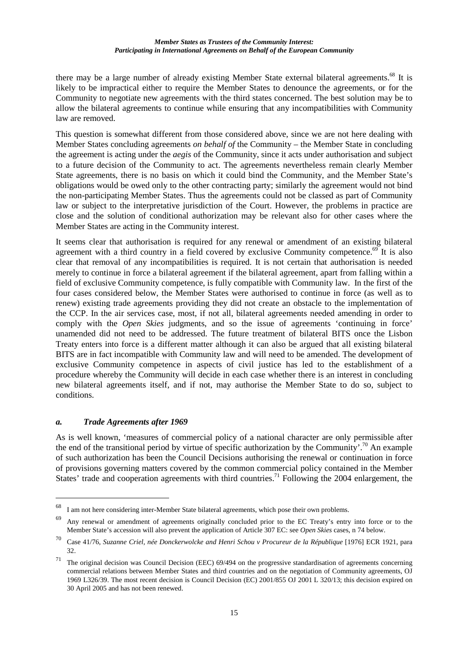#### *Member States as Trustees of the Community Interest: Participating in International Agreements on Behalf of the European Community*

there may be a large number of already existing Member State external bilateral agreements.<sup>68</sup> It is likely to be impractical either to require the Member States to denounce the agreements, or for the Community to negotiate new agreements with the third states concerned. The best solution may be to allow the bilateral agreements to continue while ensuring that any incompatibilities with Community law are removed.

This question is somewhat different from those considered above, since we are not here dealing with Member States concluding agreements *on behalf of* the Community – the Member State in concluding the agreement is acting under the *aegis* of the Community, since it acts under authorisation and subject to a future decision of the Community to act. The agreements nevertheless remain clearly Member State agreements, there is no basis on which it could bind the Community, and the Member State's obligations would be owed only to the other contracting party; similarly the agreement would not bind the non-participating Member States. Thus the agreements could not be classed as part of Community law or subject to the interpretative jurisdiction of the Court. However, the problems in practice are close and the solution of conditional authorization may be relevant also for other cases where the Member States are acting in the Community interest.

It seems clear that authorisation is required for any renewal or amendment of an existing bilateral agreement with a third country in a field covered by exclusive Community competence.<sup>69</sup> It is also clear that removal of any incompatibilities is required. It is not certain that authorisation is needed merely to continue in force a bilateral agreement if the bilateral agreement, apart from falling within a field of exclusive Community competence, is fully compatible with Community law. In the first of the four cases considered below, the Member States were authorised to continue in force (as well as to renew) existing trade agreements providing they did not create an obstacle to the implementation of the CCP. In the air services case, most, if not all, bilateral agreements needed amending in order to comply with the *Open Skies* judgments, and so the issue of agreements 'continuing in force' unamended did not need to be addressed. The future treatment of bilateral BITS once the Lisbon Treaty enters into force is a different matter although it can also be argued that all existing bilateral BITS are in fact incompatible with Community law and will need to be amended. The development of exclusive Community competence in aspects of civil justice has led to the establishment of a procedure whereby the Community will decide in each case whether there is an interest in concluding new bilateral agreements itself, and if not, may authorise the Member State to do so, subject to conditions.

#### *a. Trade Agreements after 1969*

 $\overline{a}$ 

As is well known, 'measures of commercial policy of a national character are only permissible after the end of the transitional period by virtue of specific authorization by the Community'.<sup>70</sup> An example of such authorization has been the Council Decisions authorising the renewal or continuation in force of provisions governing matters covered by the common commercial policy contained in the Member States' trade and cooperation agreements with third countries.<sup>71</sup> Following the 2004 enlargement, the

<sup>68</sup> I am not here considering inter-Member State bilateral agreements, which pose their own problems.

Any renewal or amendment of agreements originally concluded prior to the EC Treaty's entry into force or to the Member State's accession will also prevent the application of Article 307 EC: see *Open Skies* cases, n 74 below.

<sup>70</sup> Case 41/76, *Suzanne Criel, née Donckerwolcke and Henri Schou v Procureur de la République* [1976] ECR 1921, para 32.

The original decision was Council Decision (EEC) 69/494 on the progressive standardisation of agreements concerning commercial relations between Member States and third countries and on the negotiation of Community agreements, OJ 1969 L326/39. The most recent decision is Council Decision (EC) 2001/855 OJ 2001 L 320/13; this decision expired on 30 April 2005 and has not been renewed.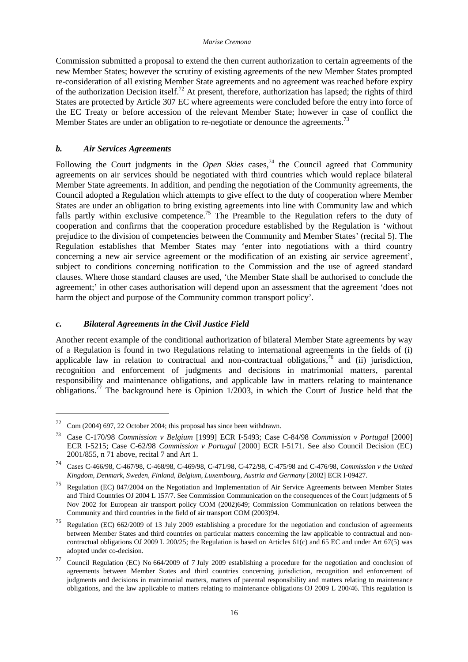Commission submitted a proposal to extend the then current authorization to certain agreements of the new Member States; however the scrutiny of existing agreements of the new Member States prompted re-consideration of all existing Member State agreements and no agreement was reached before expiry of the authorization Decision itself.<sup>72</sup> At present, therefore, authorization has lapsed; the rights of third States are protected by Article 307 EC where agreements were concluded before the entry into force of the EC Treaty or before accession of the relevant Member State; however in case of conflict the Member States are under an obligation to re-negotiate or denounce the agreements.<sup>73</sup>

#### *b. Air Services Agreements*

 $\overline{a}$ 

Following the Court judgments in the *Open Skies* cases,<sup>74</sup> the Council agreed that Community agreements on air services should be negotiated with third countries which would replace bilateral Member State agreements. In addition, and pending the negotiation of the Community agreements, the Council adopted a Regulation which attempts to give effect to the duty of cooperation where Member States are under an obligation to bring existing agreements into line with Community law and which falls partly within exclusive competence.<sup>75</sup> The Preamble to the Regulation refers to the duty of cooperation and confirms that the cooperation procedure established by the Regulation is 'without prejudice to the division of competencies between the Community and Member States' (recital 5). The Regulation establishes that Member States may 'enter into negotiations with a third country concerning a new air service agreement or the modification of an existing air service agreement', subject to conditions concerning notification to the Commission and the use of agreed standard clauses. Where those standard clauses are used, 'the Member State shall be authorised to conclude the agreement;' in other cases authorisation will depend upon an assessment that the agreement 'does not harm the object and purpose of the Community common transport policy'.

#### *c. Bilateral Agreements in the Civil Justice Field*

Another recent example of the conditional authorization of bilateral Member State agreements by way of a Regulation is found in two Regulations relating to international agreements in the fields of (i) applicable law in relation to contractual and non-contractual obligations,<sup>76</sup> and (ii) jurisdiction, recognition and enforcement of judgments and decisions in matrimonial matters, parental responsibility and maintenance obligations, and applicable law in matters relating to maintenance obligations.<sup>77</sup> The background here is Opinion  $1/2003$ , in which the Court of Justice held that the

<sup>72</sup> Com (2004) 697, 22 October 2004; this proposal has since been withdrawn.

<sup>73</sup> Case C-170/98 *Commission v Belgium* [1999] ECR I-5493; Case C-84/98 *Commission v Portugal* [2000] ECR I-5215; Case C-62/98 *Commission v Portugal* [2000] ECR I-5171. See also Council Decision (EC) 2001/855, n 71 above, recital 7 and Art 1.

<sup>74</sup> Cases C-466/98, C-467/98, C-468/98, C-469/98, C-471/98, C-472/98, C-475/98 and C-476/98, *Commission v the United Kingdom, Denmark, Sweden, Finland, Belgium, Luxembourg, Austria and Germany* [2002] ECR I-09427.

<sup>75</sup> Regulation (EC) 847/2004 on the Negotiation and Implementation of Air Service Agreements between Member States and Third Countries OJ 2004 L 157/7. See Commission Communication on the consequences of the Court judgments of 5 Nov 2002 for European air transport policy COM (2002)649; Commission Communication on relations between the Community and third countries in the field of air transport COM (2003)94.

<sup>76</sup> Regulation (EC) 662/2009 of 13 July 2009 establishing a procedure for the negotiation and conclusion of agreements between Member States and third countries on particular matters concerning the law applicable to contractual and noncontractual obligations OJ 2009 L 200/25; the Regulation is based on Articles 61(c) and 65 EC and under Art 67(5) was adopted under co-decision.

<sup>77</sup> Council Regulation (EC) No 664/2009 of 7 July 2009 establishing a procedure for the negotiation and conclusion of agreements between Member States and third countries concerning jurisdiction, recognition and enforcement of judgments and decisions in matrimonial matters, matters of parental responsibility and matters relating to maintenance obligations, and the law applicable to matters relating to maintenance obligations OJ 2009 L 200/46. This regulation is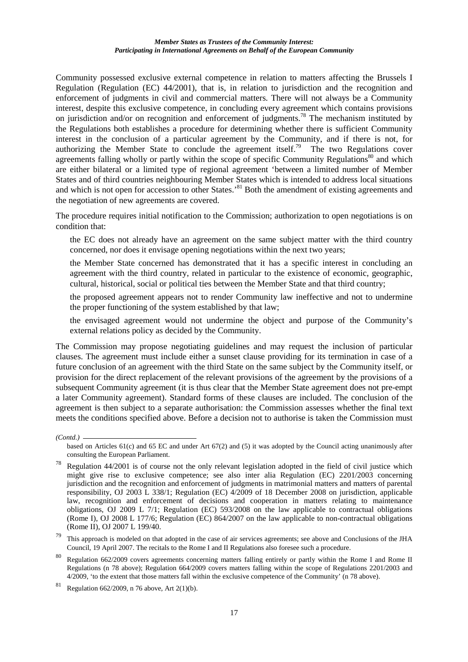Community possessed exclusive external competence in relation to matters affecting the Brussels I Regulation (Regulation (EC) 44/2001), that is, in relation to jurisdiction and the recognition and enforcement of judgments in civil and commercial matters. There will not always be a Community interest, despite this exclusive competence, in concluding every agreement which contains provisions on jurisdiction and/or on recognition and enforcement of judgments.<sup>78</sup> The mechanism instituted by the Regulations both establishes a procedure for determining whether there is sufficient Community interest in the conclusion of a particular agreement by the Community, and if there is not, for authorizing the Member State to conclude the agreement itself.<sup>79</sup> The two Regulations cover agreements falling wholly or partly within the scope of specific Community Regulations $80$  and which are either bilateral or a limited type of regional agreement 'between a limited number of Member States and of third countries neighbouring Member States which is intended to address local situations and which is not open for accession to other States.<sup>81</sup> Both the amendment of existing agreements and the negotiation of new agreements are covered.

The procedure requires initial notification to the Commission; authorization to open negotiations is on condition that:

- the EC does not already have an agreement on the same subject matter with the third country concerned, nor does it envisage opening negotiations within the next two years;
- the Member State concerned has demonstrated that it has a specific interest in concluding an agreement with the third country, related in particular to the existence of economic, geographic, cultural, historical, social or political ties between the Member State and that third country;
- the proposed agreement appears not to render Community law ineffective and not to undermine the proper functioning of the system established by that law;
- the envisaged agreement would not undermine the object and purpose of the Community's external relations policy as decided by the Community.

The Commission may propose negotiating guidelines and may request the inclusion of particular clauses. The agreement must include either a sunset clause providing for its termination in case of a future conclusion of an agreement with the third State on the same subject by the Community itself, or provision for the direct replacement of the relevant provisions of the agreement by the provisions of a subsequent Community agreement (it is thus clear that the Member State agreement does not pre-empt a later Community agreement). Standard forms of these clauses are included. The conclusion of the agreement is then subject to a separate authorisation: the Commission assesses whether the final text meets the conditions specified above. Before a decision not to authorise is taken the Commission must

*<sup>(</sup>Contd.)* 

based on Articles  $61(c)$  and  $65$  EC and under Art  $67(2)$  and  $(5)$  it was adopted by the Council acting unanimously after consulting the European Parliament.

Regulation 44/2001 is of course not the only relevant legislation adopted in the field of civil justice which might give rise to exclusive competence; see also inter alia Regulation (EC) 2201/2003 concerning jurisdiction and the recognition and enforcement of judgments in matrimonial matters and matters of parental responsibility, OJ 2003 L 338/1; Regulation (EC) 4/2009 of 18 December 2008 on jurisdiction, applicable law, recognition and enforcement of decisions and cooperation in matters relating to maintenance obligations, OJ 2009 L 7/1; Regulation (EC) 593/2008 on the law applicable to contractual obligations (Rome I), OJ 2008 L 177/6; Regulation (EC) 864/2007 on the law applicable to non-contractual obligations (Rome II), OJ 2007 L 199/40.

This approach is modeled on that adopted in the case of air services agreements; see above and Conclusions of the JHA Council, 19 April 2007. The recitals to the Rome I and II Regulations also foresee such a procedure.

Regulation 662/2009 covers agreements concerning matters falling entirely or partly within the Rome I and Rome II Regulations (n 78 above); Regulation 664/2009 covers matters falling within the scope of Regulations 2201/2003 and 4/2009, 'to the extent that those matters fall within the exclusive competence of the Community' (n 78 above).

<sup>&</sup>lt;sup>81</sup> Regulation 662/2009, n 76 above, Art 2(1)(b).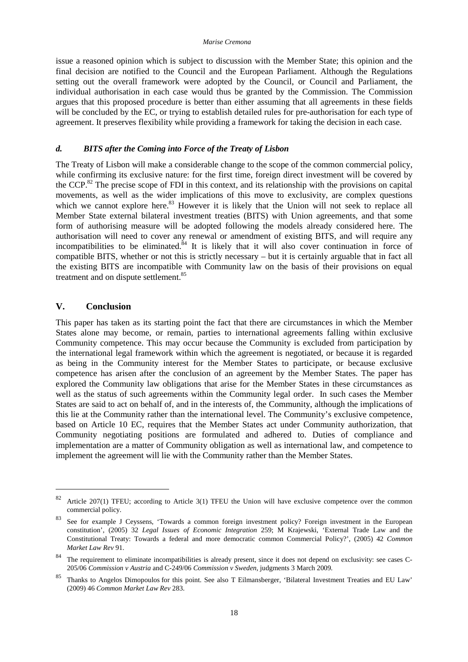issue a reasoned opinion which is subject to discussion with the Member State; this opinion and the final decision are notified to the Council and the European Parliament. Although the Regulations setting out the overall framework were adopted by the Council, or Council and Parliament, the individual authorisation in each case would thus be granted by the Commission. The Commission argues that this proposed procedure is better than either assuming that all agreements in these fields will be concluded by the EC, or trying to establish detailed rules for pre-authorisation for each type of agreement. It preserves flexibility while providing a framework for taking the decision in each case.

#### *d. BITS after the Coming into Force of the Treaty of Lisbon*

The Treaty of Lisbon will make a considerable change to the scope of the common commercial policy, while confirming its exclusive nature: for the first time, foreign direct investment will be covered by the CCP. $82$  The precise scope of FDI in this context, and its relationship with the provisions on capital movements, as well as the wider implications of this move to exclusivity, are complex questions which we cannot explore here. $83$  However it is likely that the Union will not seek to replace all Member State external bilateral investment treaties (BITS) with Union agreements, and that some form of authorising measure will be adopted following the models already considered here. The authorisation will need to cover any renewal or amendment of existing BITS, and will require any incompatibilities to be eliminated.<sup>84</sup> It is likely that it will also cover continuation in force of compatible BITS, whether or not this is strictly necessary – but it is certainly arguable that in fact all the existing BITS are incompatible with Community law on the basis of their provisions on equal treatment and on dispute settlement.<sup>85</sup>

# **V. Conclusion**

 $\overline{a}$ 

This paper has taken as its starting point the fact that there are circumstances in which the Member States alone may become, or remain, parties to international agreements falling within exclusive Community competence. This may occur because the Community is excluded from participation by the international legal framework within which the agreement is negotiated, or because it is regarded as being in the Community interest for the Member States to participate, or because exclusive competence has arisen after the conclusion of an agreement by the Member States. The paper has explored the Community law obligations that arise for the Member States in these circumstances as well as the status of such agreements within the Community legal order. In such cases the Member States are said to act on behalf of, and in the interests of, the Community, although the implications of this lie at the Community rather than the international level. The Community's exclusive competence, based on Article 10 EC, requires that the Member States act under Community authorization, that Community negotiating positions are formulated and adhered to. Duties of compliance and implementation are a matter of Community obligation as well as international law, and competence to implement the agreement will lie with the Community rather than the Member States.

 $82$  Article 207(1) TFEU; according to Article 3(1) TFEU the Union will have exclusive competence over the common commercial policy.

See for example J Ceyssens, 'Towards a common foreign investment policy? Foreign investment in the European constitution', (2005) 32 *Legal Issues of Economic Integration* 259; M Krajewski, 'External Trade Law and the Constitutional Treaty: Towards a federal and more democratic common Commercial Policy?', (2005) 42 *Common Market Law Rev* 91.

<sup>&</sup>lt;sup>84</sup> The requirement to eliminate incompatibilities is already present, since it does not depend on exclusivity: see cases C-205/06 *Commission v Austria* and C-249/06 *Commission v Sweden,* judgments 3 March 2009*.* 

<sup>85</sup> Thanks to Angelos Dimopoulos for this point. See also T Eilmansberger, 'Bilateral Investment Treaties and EU Law' (2009) 46 *Common Market Law Rev* 283.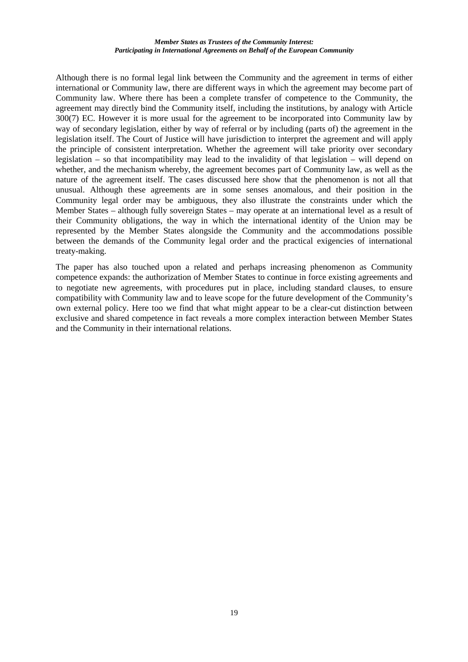#### *Member States as Trustees of the Community Interest: Participating in International Agreements on Behalf of the European Community*

Although there is no formal legal link between the Community and the agreement in terms of either international or Community law, there are different ways in which the agreement may become part of Community law. Where there has been a complete transfer of competence to the Community, the agreement may directly bind the Community itself, including the institutions, by analogy with Article 300(7) EC. However it is more usual for the agreement to be incorporated into Community law by way of secondary legislation, either by way of referral or by including (parts of) the agreement in the legislation itself. The Court of Justice will have jurisdiction to interpret the agreement and will apply the principle of consistent interpretation. Whether the agreement will take priority over secondary legislation – so that incompatibility may lead to the invalidity of that legislation – will depend on whether, and the mechanism whereby, the agreement becomes part of Community law, as well as the nature of the agreement itself. The cases discussed here show that the phenomenon is not all that unusual. Although these agreements are in some senses anomalous, and their position in the Community legal order may be ambiguous, they also illustrate the constraints under which the Member States – although fully sovereign States – may operate at an international level as a result of their Community obligations, the way in which the international identity of the Union may be represented by the Member States alongside the Community and the accommodations possible between the demands of the Community legal order and the practical exigencies of international treaty-making.

The paper has also touched upon a related and perhaps increasing phenomenon as Community competence expands: the authorization of Member States to continue in force existing agreements and to negotiate new agreements, with procedures put in place, including standard clauses, to ensure compatibility with Community law and to leave scope for the future development of the Community's own external policy. Here too we find that what might appear to be a clear-cut distinction between exclusive and shared competence in fact reveals a more complex interaction between Member States and the Community in their international relations.